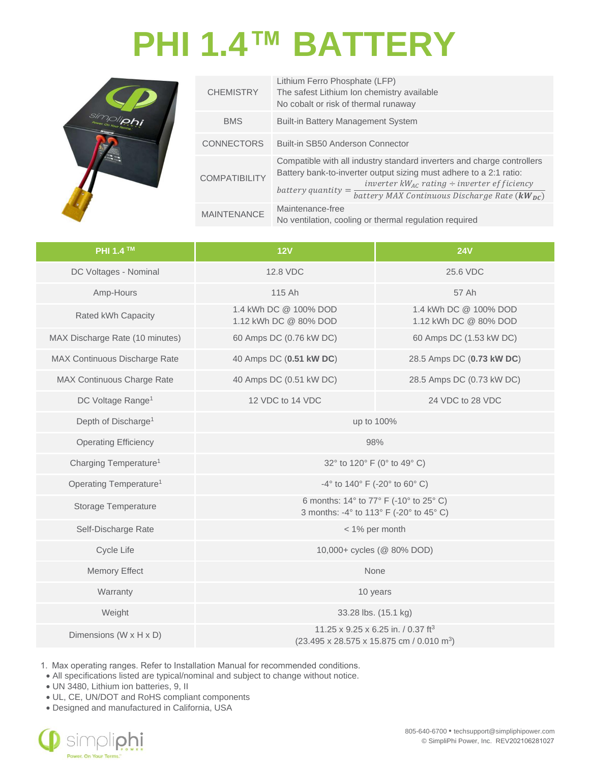## **PHI 1.4™ BATTERY**



| <b>CHEMISTRY</b>     | Lithium Ferro Phosphate (LFP)<br>The safest Lithium Ion chemistry available<br>No cobalt or risk of thermal runaway                                                                                                                                                                          |
|----------------------|----------------------------------------------------------------------------------------------------------------------------------------------------------------------------------------------------------------------------------------------------------------------------------------------|
| <b>BMS</b>           | <b>Built-in Battery Management System</b>                                                                                                                                                                                                                                                    |
| <b>CONNECTORS</b>    | Built-in SB50 Anderson Connector                                                                                                                                                                                                                                                             |
| <b>COMPATIBILITY</b> | Compatible with all industry standard inverters and charge controllers<br>Battery bank-to-inverter output sizing must adhere to a 2:1 ratio:<br>inverter $kW_{AC}$ rating ÷ inverter efficiency<br>battery quantity = $\frac{1}{\text{battery MAX Continuous Discharge Rate}}$ ( $kW_{DC}$ ) |
| <b>MAINTENANCE</b>   | Maintenance-free<br>No ventilation, cooling or thermal regulation required                                                                                                                                                                                                                   |

| <b>PHI 1.4 ™</b>                   | 12V                                                                                                                 | <b>24V</b>                                     |  |
|------------------------------------|---------------------------------------------------------------------------------------------------------------------|------------------------------------------------|--|
| DC Voltages - Nominal              | 12.8 VDC                                                                                                            | 25.6 VDC                                       |  |
| Amp-Hours                          | 115 Ah                                                                                                              | 57 Ah                                          |  |
| Rated kWh Capacity                 | 1.4 kWh DC @ 100% DOD<br>1.12 kWh DC @ 80% DOD                                                                      | 1.4 kWh DC @ 100% DOD<br>1.12 kWh DC @ 80% DOD |  |
| MAX Discharge Rate (10 minutes)    | 60 Amps DC (0.76 kW DC)                                                                                             | 60 Amps DC (1.53 kW DC)                        |  |
| MAX Continuous Discharge Rate      | 40 Amps DC (0.51 kW DC)                                                                                             | 28.5 Amps DC (0.73 kW DC)                      |  |
| MAX Continuous Charge Rate         | 40 Amps DC (0.51 kW DC)                                                                                             | 28.5 Amps DC (0.73 kW DC)                      |  |
| DC Voltage Range <sup>1</sup>      | 12 VDC to 14 VDC                                                                                                    | 24 VDC to 28 VDC                               |  |
| Depth of Discharge <sup>1</sup>    | up to 100%                                                                                                          |                                                |  |
| <b>Operating Efficiency</b>        | 98%                                                                                                                 |                                                |  |
| Charging Temperature <sup>1</sup>  | 32° to 120° F (0° to 49° C)                                                                                         |                                                |  |
| Operating Temperature <sup>1</sup> | -4 $\degree$ to 140 $\degree$ F (-20 $\degree$ to 60 $\degree$ C)                                                   |                                                |  |
| <b>Storage Temperature</b>         | 6 months: 14° to 77° F (-10° to 25° C)<br>3 months: -4° to 113° F (-20° to 45° C)                                   |                                                |  |
| Self-Discharge Rate                | < 1% per month                                                                                                      |                                                |  |
| Cycle Life                         | 10,000+ cycles (@ 80% DOD)                                                                                          |                                                |  |
| <b>Memory Effect</b>               | None                                                                                                                |                                                |  |
| Warranty                           | 10 years                                                                                                            |                                                |  |
| Weight                             | 33.28 lbs. (15.1 kg)                                                                                                |                                                |  |
| Dimensions (W x H x D)             | 11.25 x 9.25 x 6.25 in. / 0.37 ft <sup>3</sup><br>$(23.495 \times 28.575 \times 15.875$ cm / 0.010 m <sup>3</sup> ) |                                                |  |

1. Max operating ranges. Refer to Installation Manual for recommended conditions.

• All specifications listed are typical/nominal and subject to change without notice.

• UN 3480, Lithium ion batteries, 9, II

• UL, CE, UN/DOT and RoHS compliant components

• Designed and manufactured in California, USA